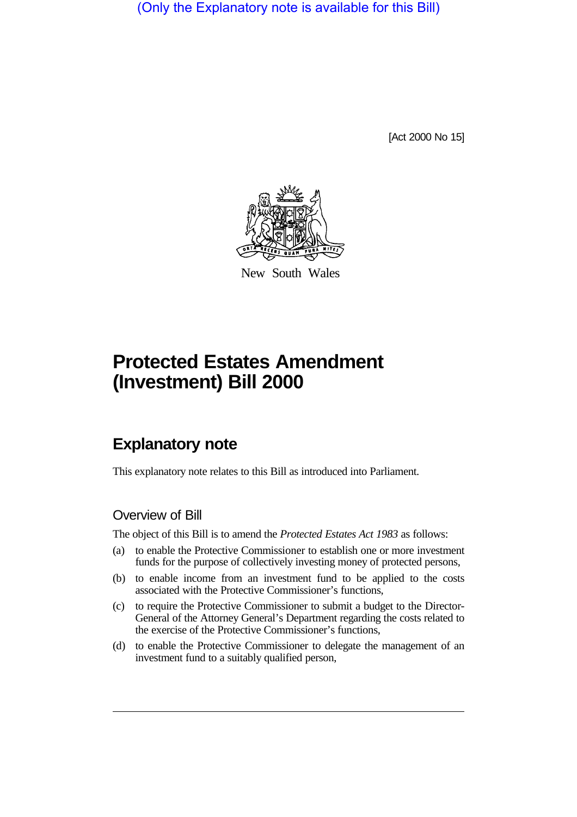(Only the Explanatory note is available for this Bill)

[Act 2000 No 15]



New South Wales

# **Protected Estates Amendment (Investment) Bill 2000**

# **Explanatory note**

This explanatory note relates to this Bill as introduced into Parliament.

### Overview of Bill

The object of this Bill is to amend the *Protected Estates Act 1983* as follows:

- (a) to enable the Protective Commissioner to establish one or more investment funds for the purpose of collectively investing money of protected persons,
- (b) to enable income from an investment fund to be applied to the costs associated with the Protective Commissioner's functions,
- (c) to require the Protective Commissioner to submit a budget to the Director-General of the Attorney General's Department regarding the costs related to the exercise of the Protective Commissioner's functions,
- (d) to enable the Protective Commissioner to delegate the management of an investment fund to a suitably qualified person,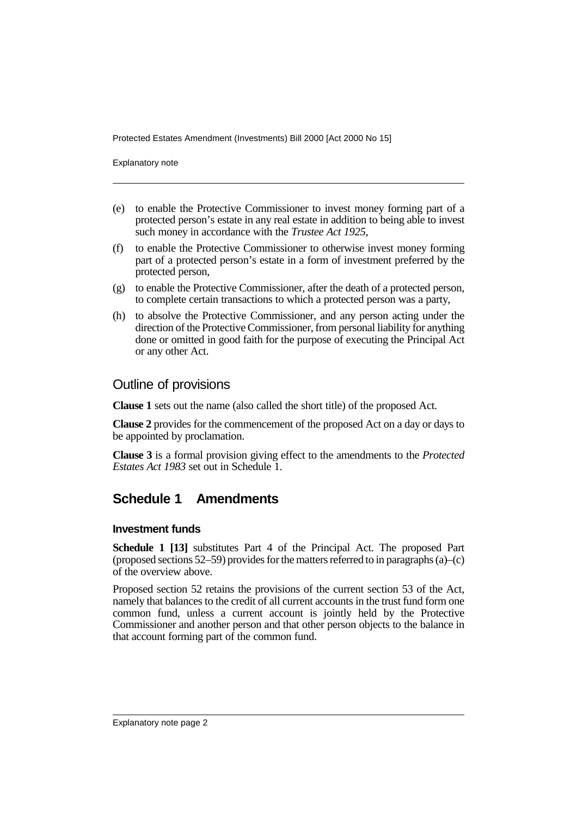Protected Estates Amendment (Investments) Bill 2000 [Act 2000 No 15]

Explanatory note

- (e) to enable the Protective Commissioner to invest money forming part of a protected person's estate in any real estate in addition to being able to invest such money in accordance with the *Trustee Act 1925*,
- (f) to enable the Protective Commissioner to otherwise invest money forming part of a protected person's estate in a form of investment preferred by the protected person,
- (g) to enable the Protective Commissioner, after the death of a protected person, to complete certain transactions to which a protected person was a party,
- (h) to absolve the Protective Commissioner, and any person acting under the direction of the Protective Commissioner, from personal liability for anything done or omitted in good faith for the purpose of executing the Principal Act or any other Act.

### Outline of provisions

**Clause 1** sets out the name (also called the short title) of the proposed Act.

**Clause 2** provides for the commencement of the proposed Act on a day or days to be appointed by proclamation.

**Clause 3** is a formal provision giving effect to the amendments to the *Protected Estates Act 1983* set out in Schedule 1.

## **Schedule 1 Amendments**

### **Investment funds**

**Schedule 1 [13]** substitutes Part 4 of the Principal Act. The proposed Part (proposed sections 52–59) provides for the matters referred to in paragraphs (a)–(c) of the overview above.

Proposed section 52 retains the provisions of the current section 53 of the Act, namely that balances to the credit of all current accounts in the trust fund form one common fund, unless a current account is jointly held by the Protective Commissioner and another person and that other person objects to the balance in that account forming part of the common fund.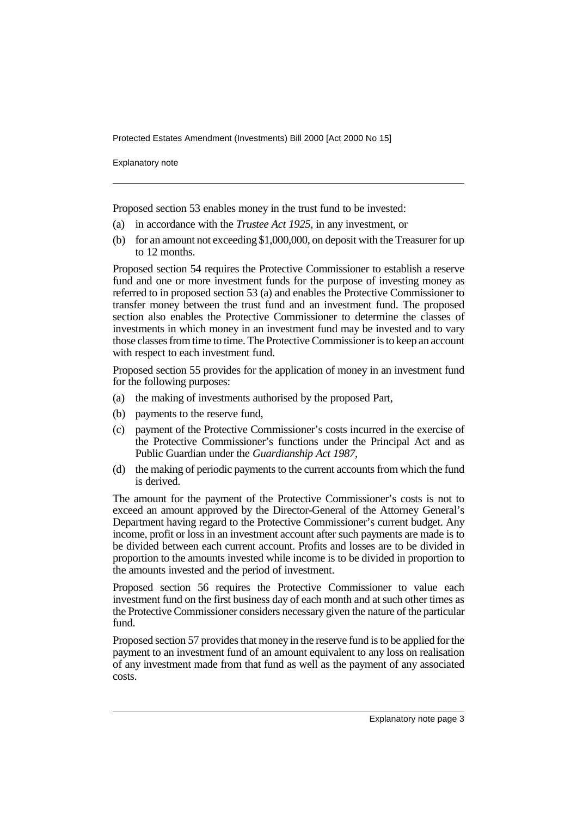Protected Estates Amendment (Investments) Bill 2000 [Act 2000 No 15]

Explanatory note

Proposed section 53 enables money in the trust fund to be invested:

- (a) in accordance with the *Trustee Act 1925*, in any investment, or
- (b) for an amount not exceeding \$1,000,000, on deposit with the Treasurer for up to 12 months.

Proposed section 54 requires the Protective Commissioner to establish a reserve fund and one or more investment funds for the purpose of investing money as referred to in proposed section 53 (a) and enables the Protective Commissioner to transfer money between the trust fund and an investment fund. The proposed section also enables the Protective Commissioner to determine the classes of investments in which money in an investment fund may be invested and to vary those classes from time to time. The Protective Commissioner is to keep an account with respect to each investment fund.

Proposed section 55 provides for the application of money in an investment fund for the following purposes:

- (a) the making of investments authorised by the proposed Part,
- (b) payments to the reserve fund,
- (c) payment of the Protective Commissioner's costs incurred in the exercise of the Protective Commissioner's functions under the Principal Act and as Public Guardian under the *Guardianship Act 1987*,
- (d) the making of periodic payments to the current accounts from which the fund is derived.

The amount for the payment of the Protective Commissioner's costs is not to exceed an amount approved by the Director-General of the Attorney General's Department having regard to the Protective Commissioner's current budget. Any income, profit or loss in an investment account after such payments are made is to be divided between each current account. Profits and losses are to be divided in proportion to the amounts invested while income is to be divided in proportion to the amounts invested and the period of investment.

Proposed section 56 requires the Protective Commissioner to value each investment fund on the first business day of each month and at such other times as the Protective Commissioner considers necessary given the nature of the particular fund.

Proposed section 57 provides that money in the reserve fund is to be applied for the payment to an investment fund of an amount equivalent to any loss on realisation of any investment made from that fund as well as the payment of any associated costs.